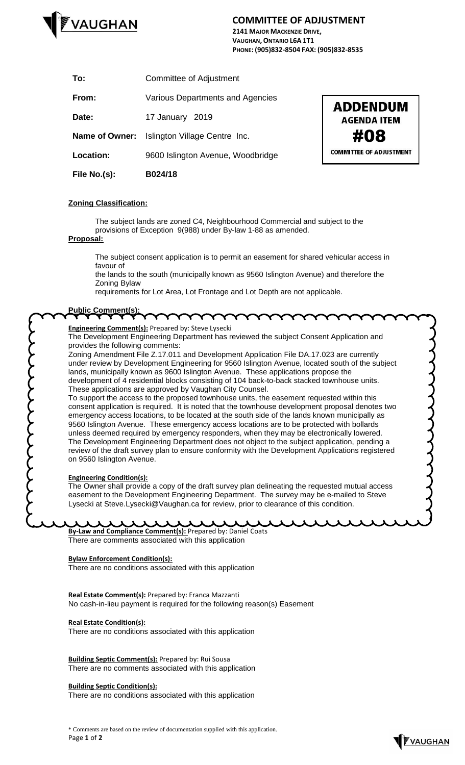

# **COMMITTEE OF ADJUSTMENT**

**2141 MAJOR MACKENZIE DRIVE, VAUGHAN, ONTARIO L6A 1T1 PHONE: (905)832-8504 FAX: (905)832-8535**

| File No.(s):          | B024/18                           |
|-----------------------|-----------------------------------|
| <b>Location:</b>      | 9600 Islington Avenue, Woodbridge |
| <b>Name of Owner:</b> | Islington Village Centre Inc.     |
| Date:                 | 17 January 2019                   |
| From:                 | Various Departments and Agencies  |
| To:                   | <b>Committee of Adjustment</b>    |



## **Zoning Classification:**

The subject lands are zoned C4, Neighbourhood Commercial and subject to the provisions of Exception 9(988) under By-law 1-88 as amended.

### **Proposal:**

The subject consent application is to permit an easement for shared vehicular access in favour of

the lands to the south (municipally known as 9560 Islington Avenue) and therefore the Zoning Bylaw

requirements for Lot Area, Lot Frontage and Lot Depth are not applicable.

## **Public Comment(s):**

**Engineering Comment(s):** Prepared by: Steve Lysecki

The Development Engineering Department has reviewed the subject Consent Application and provides the following comments:

Zoning Amendment File Z.17.011 and Development Application File DA.17.023 are currently under review by Development Engineering for 9560 Islington Avenue, located south of the subject lands, municipally known as 9600 Islington Avenue. These applications propose the development of 4 residential blocks consisting of 104 back-to-back stacked townhouse units. These applications are approved by Vaughan City Counsel.

To support the access to the proposed townhouse units, the easement requested within this consent application is required. It is noted that the townhouse development proposal denotes two emergency access locations, to be located at the south side of the lands known municipally as 9560 Islington Avenue. These emergency access locations are to be protected with bollards unless deemed required by emergency responders, when they may be electronically lowered. The Development Engineering Department does not object to the subject application, pending a review of the draft survey plan to ensure conformity with the Development Applications registered on 9560 Islington Avenue.

#### **Engineering Condition(s):**

てくてくてくてくてくてく

The Owner shall provide a copy of the draft survey plan delineating the requested mutual access easement to the Development Engineering Department. The survey may be e-mailed to Steve Lysecki at Steve.Lysecki@Vaughan.ca for review, prior to clearance of this condition.

**By-Law and Compliance Comment(s):** Prepared by: Daniel Coats There are comments associated with this application

#### **Bylaw Enforcement Condition(s):**

There are no conditions associated with this application

**Real Estate Comment(s):** Prepared by: Franca Mazzanti No cash-in-lieu payment is required for the following reason(s) Easement

#### **Real Estate Condition(s):**

There are no conditions associated with this application

**Building Septic Comment(s):** Prepared by: Rui Sousa There are no comments associated with this application

#### **Building Septic Condition(s):**

There are no conditions associated with this application

\* Comments are based on the review of documentation supplied with this application. Page **1** of **2**



systems of the state